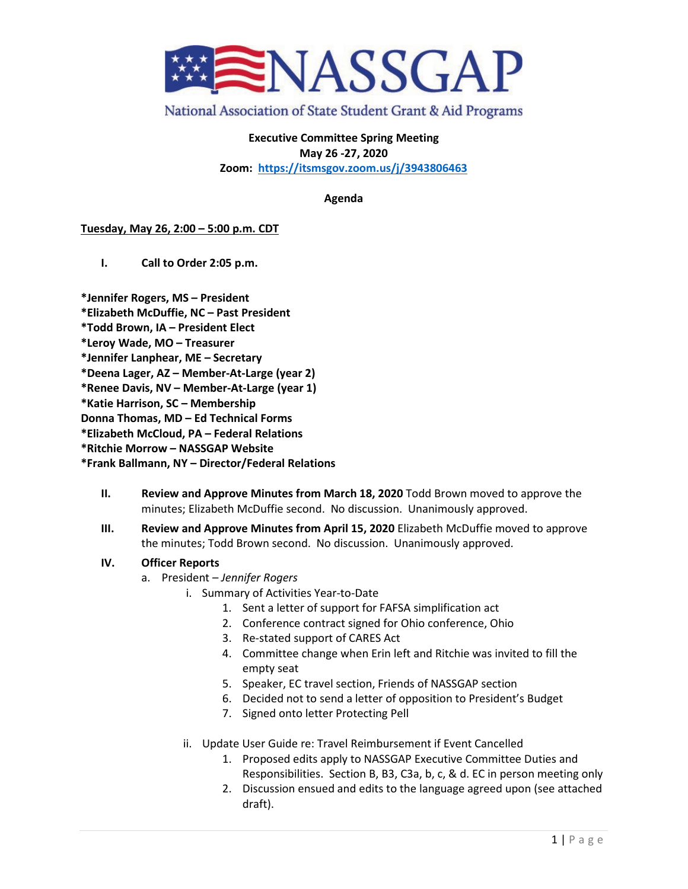

# National Association of State Student Grant & Aid Programs

**Executive Committee Spring Meeting May 26 -27, 2020 Zoom: <https://itsmsgov.zoom.us/j/3943806463>**

**Agenda**

### **Tuesday, May 26, 2:00 – 5:00 p.m. CDT**

**I. Call to Order 2:05 p.m.**

**\*Jennifer Rogers, MS – President**

- **\*Elizabeth McDuffie, NC – Past President**
- **\*Todd Brown, IA – President Elect**
- **\*Leroy Wade, MO – Treasurer**
- **\*Jennifer Lanphear, ME – Secretary**
- **\*Deena Lager, AZ – Member-At-Large (year 2)**
- **\*Renee Davis, NV – Member-At-Large (year 1)**

**\*Katie Harrison, SC – Membership**

**Donna Thomas, MD – Ed Technical Forms**

**\*Elizabeth McCloud, PA – Federal Relations**

**\*Ritchie Morrow – NASSGAP Website**

#### **\*Frank Ballmann, NY – Director/Federal Relations**

- **II. Review and Approve Minutes from March 18, 2020** Todd Brown moved to approve the minutes; Elizabeth McDuffie second. No discussion. Unanimously approved.
- **III. Review and Approve Minutes from April 15, 2020** Elizabeth McDuffie moved to approve the minutes; Todd Brown second. No discussion. Unanimously approved.

## **IV. Officer Reports**

- a. President *Jennifer Rogers* 
	- i. Summary of Activities Year-to-Date
		- 1. Sent a letter of support for FAFSA simplification act
		- 2. Conference contract signed for Ohio conference, Ohio
		- 3. Re-stated support of CARES Act
		- 4. Committee change when Erin left and Ritchie was invited to fill the empty seat
		- 5. Speaker, EC travel section, Friends of NASSGAP section
		- 6. Decided not to send a letter of opposition to President's Budget
		- 7. Signed onto letter Protecting Pell
	- ii. Update User Guide re: Travel Reimbursement if Event Cancelled
		- 1. Proposed edits apply to NASSGAP Executive Committee Duties and Responsibilities. Section B, B3, C3a, b, c, & d. EC in person meeting only
		- 2. Discussion ensued and edits to the language agreed upon (see attached draft).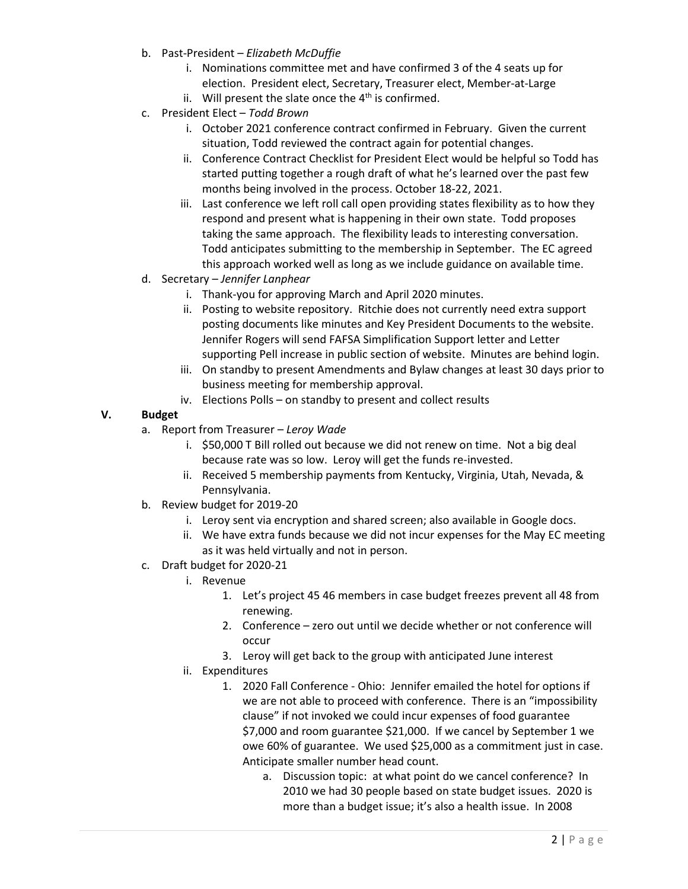- b. Past-President *Elizabeth McDuffie*
	- i. Nominations committee met and have confirmed 3 of the 4 seats up for election. President elect, Secretary, Treasurer elect, Member-at-Large
	- ii. Will present the slate once the  $4<sup>th</sup>$  is confirmed.
- c. President Elect *Todd Brown*
	- i. October 2021 conference contract confirmed in February. Given the current situation, Todd reviewed the contract again for potential changes.
	- ii. Conference Contract Checklist for President Elect would be helpful so Todd has started putting together a rough draft of what he's learned over the past few months being involved in the process. October 18-22, 2021.
	- iii. Last conference we left roll call open providing states flexibility as to how they respond and present what is happening in their own state. Todd proposes taking the same approach. The flexibility leads to interesting conversation. Todd anticipates submitting to the membership in September. The EC agreed this approach worked well as long as we include guidance on available time.
- d. Secretary *Jennifer Lanphear*
	- i. Thank-you for approving March and April 2020 minutes.
	- ii. Posting to website repository. Ritchie does not currently need extra support posting documents like minutes and Key President Documents to the website. Jennifer Rogers will send FAFSA Simplification Support letter and Letter supporting Pell increase in public section of website. Minutes are behind login.
	- iii. On standby to present Amendments and Bylaw changes at least 30 days prior to business meeting for membership approval.
	- iv. Elections Polls on standby to present and collect results

# **V. Budget**

- a. Report from Treasurer *Leroy Wade*
	- i. \$50,000 T Bill rolled out because we did not renew on time. Not a big deal because rate was so low. Leroy will get the funds re-invested.
	- ii. Received 5 membership payments from Kentucky, Virginia, Utah, Nevada, & Pennsylvania.
- b. Review budget for 2019-20
	- i. Leroy sent via encryption and shared screen; also available in Google docs.
	- ii. We have extra funds because we did not incur expenses for the May EC meeting as it was held virtually and not in person.
- c. Draft budget for 2020-21
	- i. Revenue
		- 1. Let's project 45 46 members in case budget freezes prevent all 48 from renewing.
		- 2. Conference zero out until we decide whether or not conference will occur
		- 3. Leroy will get back to the group with anticipated June interest
	- ii. Expenditures
		- 1. 2020 Fall Conference Ohio: Jennifer emailed the hotel for options if we are not able to proceed with conference. There is an "impossibility clause" if not invoked we could incur expenses of food guarantee \$7,000 and room guarantee \$21,000. If we cancel by September 1 we owe 60% of guarantee. We used \$25,000 as a commitment just in case. Anticipate smaller number head count.
			- a. Discussion topic: at what point do we cancel conference? In 2010 we had 30 people based on state budget issues. 2020 is more than a budget issue; it's also a health issue. In 2008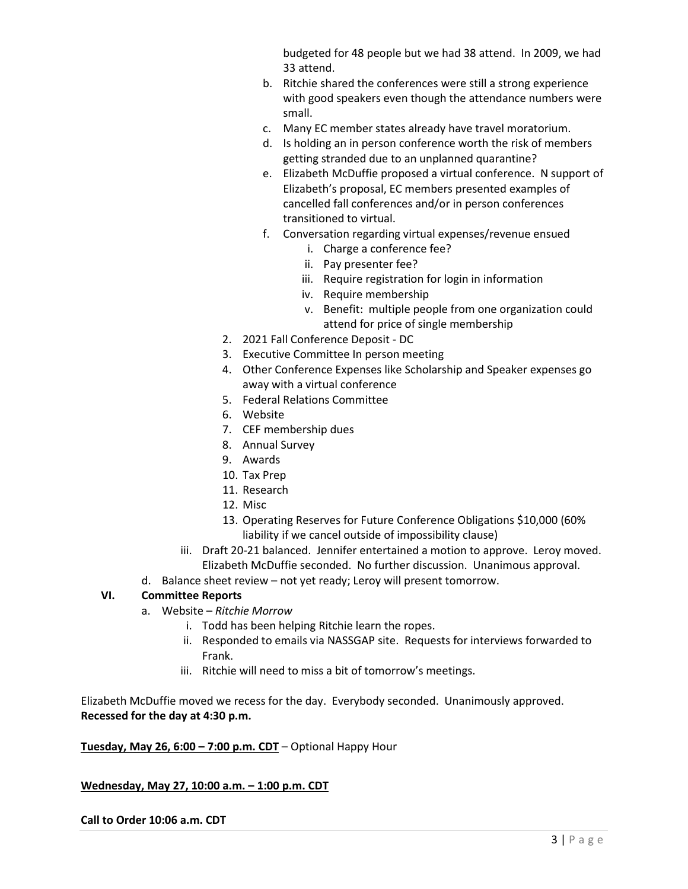budgeted for 48 people but we had 38 attend. In 2009, we had 33 attend.

- b. Ritchie shared the conferences were still a strong experience with good speakers even though the attendance numbers were small.
- c. Many EC member states already have travel moratorium.
- d. Is holding an in person conference worth the risk of members getting stranded due to an unplanned quarantine?
- e. Elizabeth McDuffie proposed a virtual conference. N support of Elizabeth's proposal, EC members presented examples of cancelled fall conferences and/or in person conferences transitioned to virtual.
- f. Conversation regarding virtual expenses/revenue ensued
	- i. Charge a conference fee?
	- ii. Pay presenter fee?
	- iii. Require registration for login in information
	- iv. Require membership
	- v. Benefit: multiple people from one organization could attend for price of single membership
- 2. 2021 Fall Conference Deposit DC
- 3. Executive Committee In person meeting
- 4. Other Conference Expenses like Scholarship and Speaker expenses go away with a virtual conference
- 5. Federal Relations Committee
- 6. Website
- 7. CEF membership dues
- 8. Annual Survey
- 9. Awards
- 10. Tax Prep
- 11. Research
- 12. Misc
- 13. Operating Reserves for Future Conference Obligations \$10,000 (60% liability if we cancel outside of impossibility clause)
- iii. Draft 20-21 balanced. Jennifer entertained a motion to approve. Leroy moved. Elizabeth McDuffie seconded. No further discussion. Unanimous approval.
- d. Balance sheet review not yet ready; Leroy will present tomorrow.

# **VI. Committee Reports**

- a. Website *Ritchie Morrow*
	- i. Todd has been helping Ritchie learn the ropes.
	- ii. Responded to emails via NASSGAP site. Requests for interviews forwarded to Frank.
	- iii. Ritchie will need to miss a bit of tomorrow's meetings.

Elizabeth McDuffie moved we recess for the day. Everybody seconded. Unanimously approved. **Recessed for the day at 4:30 p.m.**

## **Tuesday, May 26, 6:00 – 7:00 p.m. CDT** – Optional Happy Hour

## **Wednesday, May 27, 10:00 a.m. – 1:00 p.m. CDT**

#### **Call to Order 10:06 a.m. CDT**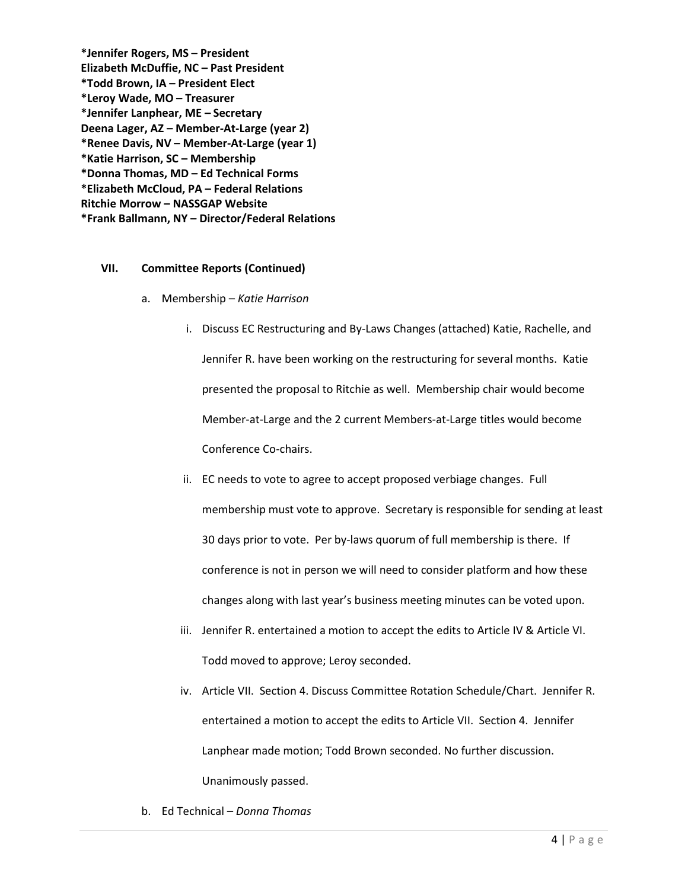**\*Jennifer Rogers, MS – President Elizabeth McDuffie, NC – Past President \*Todd Brown, IA – President Elect \*Leroy Wade, MO – Treasurer \*Jennifer Lanphear, ME – Secretary Deena Lager, AZ – Member-At-Large (year 2) \*Renee Davis, NV – Member-At-Large (year 1) \*Katie Harrison, SC – Membership \*Donna Thomas, MD – Ed Technical Forms \*Elizabeth McCloud, PA – Federal Relations Ritchie Morrow – NASSGAP Website \*Frank Ballmann, NY – Director/Federal Relations**

### **VII. Committee Reports (Continued)**

- a. Membership *Katie Harrison*
	- i. Discuss EC Restructuring and By-Laws Changes (attached) Katie, Rachelle, and Jennifer R. have been working on the restructuring for several months. Katie presented the proposal to Ritchie as well. Membership chair would become Member-at-Large and the 2 current Members-at-Large titles would become Conference Co-chairs.
	- ii. EC needs to vote to agree to accept proposed verbiage changes. Full membership must vote to approve. Secretary is responsible for sending at least 30 days prior to vote. Per by-laws quorum of full membership is there. If conference is not in person we will need to consider platform and how these changes along with last year's business meeting minutes can be voted upon.
	- iii. Jennifer R. entertained a motion to accept the edits to Article IV & Article VI. Todd moved to approve; Leroy seconded.
	- iv. Article VII. Section 4. Discuss Committee Rotation Schedule/Chart. Jennifer R. entertained a motion to accept the edits to Article VII. Section 4. Jennifer Lanphear made motion; Todd Brown seconded. No further discussion. Unanimously passed.
- b. Ed Technical *Donna Thomas*